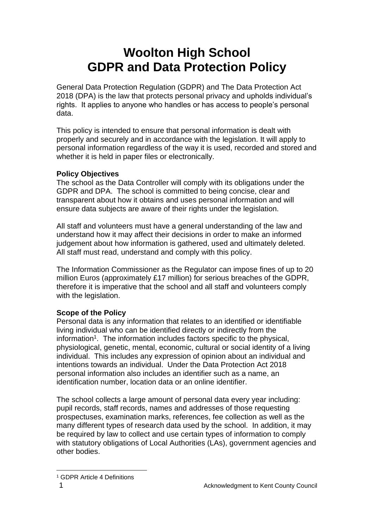# **Woolton High School GDPR and Data Protection Policy**

General Data Protection Regulation (GDPR) and The Data Protection Act 2018 (DPA) is the law that protects personal privacy and upholds individual's rights. It applies to anyone who handles or has access to people's personal data.

This policy is intended to ensure that personal information is dealt with properly and securely and in accordance with the legislation. It will apply to personal information regardless of the way it is used, recorded and stored and whether it is held in paper files or electronically.

## **Policy Objectives**

The school as the Data Controller will comply with its obligations under the GDPR and DPA. The school is committed to being concise, clear and transparent about how it obtains and uses personal information and will ensure data subjects are aware of their rights under the legislation.

All staff and volunteers must have a general understanding of the law and understand how it may affect their decisions in order to make an informed judgement about how information is gathered, used and ultimately deleted. All staff must read, understand and comply with this policy.

The Information Commissioner as the Regulator can impose fines of up to 20 million Euros (approximately £17 million) for serious breaches of the GDPR, therefore it is imperative that the school and all staff and volunteers comply with the legislation.

## **Scope of the Policy**

Personal data is any information that relates to an identified or identifiable living individual who can be identified directly or indirectly from the information<sup>1</sup>. The information includes factors specific to the physical, physiological, genetic, mental, economic, cultural or social identity of a living individual. This includes any expression of opinion about an individual and intentions towards an individual. Under the Data Protection Act 2018 personal information also includes an identifier such as a name, an identification number, location data or an online identifier.

The school collects a large amount of personal data every year including: pupil records, staff records, names and addresses of those requesting prospectuses, examination marks, references, fee collection as well as the many different types of research data used by the school. In addition, it may be required by law to collect and use certain types of information to comply with statutory obligations of Local Authorities (LAs), government agencies and other bodies.

<sup>1</sup> GDPR Article 4 Definitions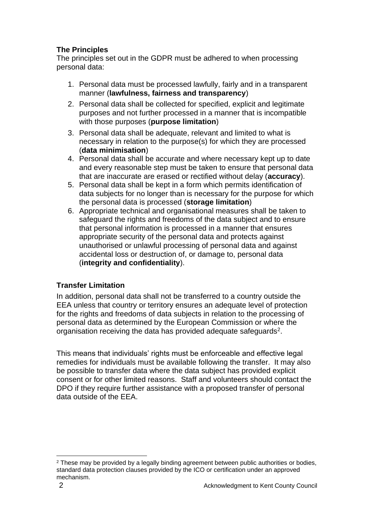## **The Principles**

The principles set out in the GDPR must be adhered to when processing personal data:

- 1. Personal data must be processed lawfully, fairly and in a transparent manner (**lawfulness, fairness and transparency**)
- 2. Personal data shall be collected for specified, explicit and legitimate purposes and not further processed in a manner that is incompatible with those purposes (**purpose limitation**)
- 3. Personal data shall be adequate, relevant and limited to what is necessary in relation to the purpose(s) for which they are processed (**data minimisation**)
- 4. Personal data shall be accurate and where necessary kept up to date and every reasonable step must be taken to ensure that personal data that are inaccurate are erased or rectified without delay (**accuracy**).
- 5. Personal data shall be kept in a form which permits identification of data subjects for no longer than is necessary for the purpose for which the personal data is processed (**storage limitation**)
- 6. Appropriate technical and organisational measures shall be taken to safeguard the rights and freedoms of the data subject and to ensure that personal information is processed in a manner that ensures appropriate security of the personal data and protects against unauthorised or unlawful processing of personal data and against accidental loss or destruction of, or damage to, personal data (**integrity and confidentiality**).

# **Transfer Limitation**

In addition, personal data shall not be transferred to a country outside the EEA unless that country or territory ensures an adequate level of protection for the rights and freedoms of data subjects in relation to the processing of personal data as determined by the European Commission or where the organisation receiving the data has provided adequate safeguards $2$ .

This means that individuals' rights must be enforceable and effective legal remedies for individuals must be available following the transfer. It may also be possible to transfer data where the data subject has provided explicit consent or for other limited reasons. Staff and volunteers should contact the DPO if they require further assistance with a proposed transfer of personal data outside of the EEA.

<sup>&</sup>lt;sup>2</sup> These may be provided by a legally binding agreement between public authorities or bodies, standard data protection clauses provided by the ICO or certification under an approved mechanism.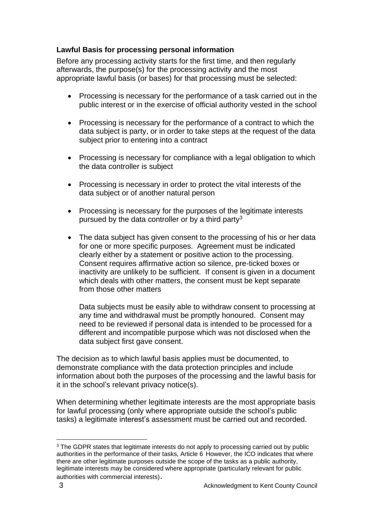## **Lawful Basis for processing personal information**

Before any processing activity starts for the first time, and then regularly afterwards, the purpose(s) for the processing activity and the most appropriate lawful basis (or bases) for that processing must be selected:

- Processing is necessary for the performance of a task carried out in the public interest or in the exercise of official authority vested in the school
- Processing is necessary for the performance of a contract to which the data subject is party, or in order to take steps at the request of the data subject prior to entering into a contract
- Processing is necessary for compliance with a legal obligation to which the data controller is subject
- Processing is necessary in order to protect the vital interests of the data subject or of another natural person
- Processing is necessary for the purposes of the legitimate interests pursued by the data controller or by a third party<sup>3</sup>
- The data subject has given consent to the processing of his or her data for one or more specific purposes. Agreement must be indicated clearly either by a statement or positive action to the processing. Consent requires affirmative action so silence, pre-ticked boxes or inactivity are unlikely to be sufficient. If consent is given in a document which deals with other matters, the consent must be kept separate from those other matters

Data subjects must be easily able to withdraw consent to processing at any time and withdrawal must be promptly honoured. Consent may need to be reviewed if personal data is intended to be processed for a different and incompatible purpose which was not disclosed when the data subject first gave consent.

The decision as to which lawful basis applies must be documented, to demonstrate compliance with the data protection principles and include information about both the purposes of the processing and the lawful basis for it in the school's relevant privacy notice(s).

When determining whether legitimate interests are the most appropriate basis for lawful processing (only where appropriate outside the school's public tasks) a legitimate interest's assessment must be carried out and recorded.

<sup>&</sup>lt;sup>3</sup> The GDPR states that legitimate interests do not apply to processing carried out by public authorities in the performance of their tasks, Article 6 However, the ICO indicates that where there are other legitimate purposes outside the scope of the tasks as a public authority, legitimate interests may be considered where appropriate (particularly relevant for public authorities with commercial interests).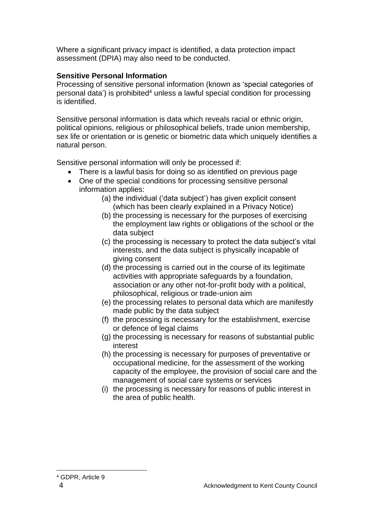Where a significant privacy impact is identified, a data protection impact assessment (DPIA) may also need to be conducted.

## **Sensitive Personal Information**

Processing of sensitive personal information (known as 'special categories of personal data') is prohibited<sup>4</sup> unless a lawful special condition for processing is identified.

Sensitive personal information is data which reveals racial or ethnic origin, political opinions, religious or philosophical beliefs, trade union membership, sex life or orientation or is genetic or biometric data which uniquely identifies a natural person.

Sensitive personal information will only be processed if:

- There is a lawful basis for doing so as identified on previous page
- One of the special conditions for processing sensitive personal information applies:
	- (a) the individual ('data subject') has given explicit consent (which has been clearly explained in a Privacy Notice)
	- (b) the processing is necessary for the purposes of exercising the employment law rights or obligations of the school or the data subject
	- (c) the processing is necessary to protect the data subject's vital interests, and the data subject is physically incapable of giving consent
	- (d) the processing is carried out in the course of its legitimate activities with appropriate safeguards by a foundation, association or any other not-for-profit body with a political, philosophical, religious or trade-union aim
	- (e) the processing relates to personal data which are manifestly made public by the data subject
	- (f) the processing is necessary for the establishment, exercise or defence of legal claims
	- (g) the processing is necessary for reasons of substantial public interest
	- (h) the processing is necessary for purposes of preventative or occupational medicine, for the assessment of the working capacity of the employee, the provision of social care and the management of social care systems or services
	- (i) the processing is necessary for reasons of public interest in the area of public health.

<sup>4</sup> GDPR, Article 9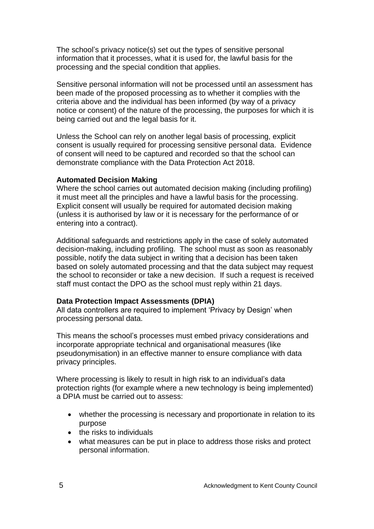The school's privacy notice(s) set out the types of sensitive personal information that it processes, what it is used for, the lawful basis for the processing and the special condition that applies.

Sensitive personal information will not be processed until an assessment has been made of the proposed processing as to whether it complies with the criteria above and the individual has been informed (by way of a privacy notice or consent) of the nature of the processing, the purposes for which it is being carried out and the legal basis for it.

Unless the School can rely on another legal basis of processing, explicit consent is usually required for processing sensitive personal data. Evidence of consent will need to be captured and recorded so that the school can demonstrate compliance with the Data Protection Act 2018.

#### **Automated Decision Making**

Where the school carries out automated decision making (including profiling) it must meet all the principles and have a lawful basis for the processing. Explicit consent will usually be required for automated decision making (unless it is authorised by law or it is necessary for the performance of or entering into a contract).

Additional safeguards and restrictions apply in the case of solely automated decision-making, including profiling. The school must as soon as reasonably possible, notify the data subject in writing that a decision has been taken based on solely automated processing and that the data subject may request the school to reconsider or take a new decision. If such a request is received staff must contact the DPO as the school must reply within 21 days.

#### **Data Protection Impact Assessments (DPIA)**

All data controllers are required to implement 'Privacy by Design' when processing personal data.

This means the school's processes must embed privacy considerations and incorporate appropriate technical and organisational measures (like pseudonymisation) in an effective manner to ensure compliance with data privacy principles.

Where processing is likely to result in high risk to an individual's data protection rights (for example where a new technology is being implemented) a DPIA must be carried out to assess:

- whether the processing is necessary and proportionate in relation to its purpose
- the risks to individuals
- what measures can be put in place to address those risks and protect personal information.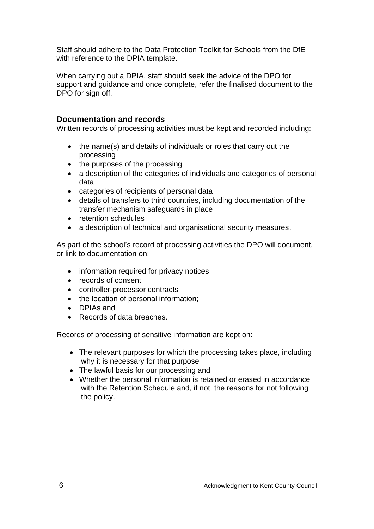Staff should adhere to the Data Protection Toolkit for Schools from the DfE with reference to the DPIA template.

When carrying out a DPIA, staff should seek the advice of the DPO for support and guidance and once complete, refer the finalised document to the DPO for sign off.

## **Documentation and records**

Written records of processing activities must be kept and recorded including:

- the name(s) and details of individuals or roles that carry out the processing
- the purposes of the processing
- a description of the categories of individuals and categories of personal data
- categories of recipients of personal data
- details of transfers to third countries, including documentation of the transfer mechanism safeguards in place
- retention schedules
- a description of technical and organisational security measures.

As part of the school's record of processing activities the DPO will document, or link to documentation on:

- information required for privacy notices
- records of consent
- controller-processor contracts
- the location of personal information;
- DPIAs and
- Records of data breaches.

Records of processing of sensitive information are kept on:

- The relevant purposes for which the processing takes place, including why it is necessary for that purpose
- The lawful basis for our processing and
- Whether the personal information is retained or erased in accordance with the Retention Schedule and, if not, the reasons for not following the policy.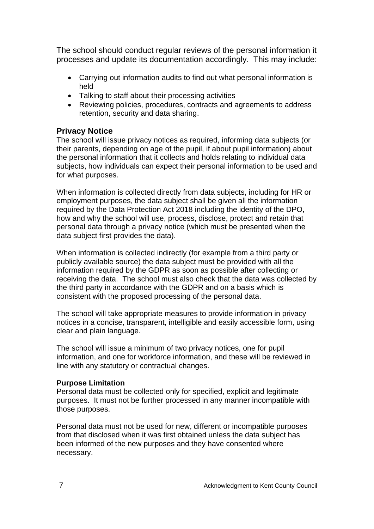The school should conduct regular reviews of the personal information it processes and update its documentation accordingly. This may include:

- Carrying out information audits to find out what personal information is held
- Talking to staff about their processing activities
- Reviewing policies, procedures, contracts and agreements to address retention, security and data sharing.

## **Privacy Notice**

The school will issue privacy notices as required, informing data subjects (or their parents, depending on age of the pupil, if about pupil information) about the personal information that it collects and holds relating to individual data subjects, how individuals can expect their personal information to be used and for what purposes.

When information is collected directly from data subjects, including for HR or employment purposes, the data subject shall be given all the information required by the Data Protection Act 2018 including the identity of the DPO, how and why the school will use, process, disclose, protect and retain that personal data through a privacy notice (which must be presented when the data subject first provides the data).

When information is collected indirectly (for example from a third party or publicly available source) the data subject must be provided with all the information required by the GDPR as soon as possible after collecting or receiving the data. The school must also check that the data was collected by the third party in accordance with the GDPR and on a basis which is consistent with the proposed processing of the personal data.

The school will take appropriate measures to provide information in privacy notices in a concise, transparent, intelligible and easily accessible form, using clear and plain language.

The school will issue a minimum of two privacy notices, one for pupil information, and one for workforce information, and these will be reviewed in line with any statutory or contractual changes.

## **Purpose Limitation**

Personal data must be collected only for specified, explicit and legitimate purposes. It must not be further processed in any manner incompatible with those purposes.

Personal data must not be used for new, different or incompatible purposes from that disclosed when it was first obtained unless the data subject has been informed of the new purposes and they have consented where necessary.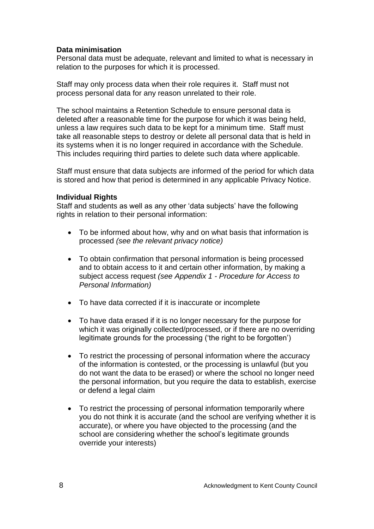## **Data minimisation**

Personal data must be adequate, relevant and limited to what is necessary in relation to the purposes for which it is processed.

Staff may only process data when their role requires it. Staff must not process personal data for any reason unrelated to their role.

The school maintains a Retention Schedule to ensure personal data is deleted after a reasonable time for the purpose for which it was being held, unless a law requires such data to be kept for a minimum time. Staff must take all reasonable steps to destroy or delete all personal data that is held in its systems when it is no longer required in accordance with the Schedule. This includes requiring third parties to delete such data where applicable.

Staff must ensure that data subjects are informed of the period for which data is stored and how that period is determined in any applicable Privacy Notice.

#### **Individual Rights**

Staff and students as well as any other 'data subjects' have the following rights in relation to their personal information:

- To be informed about how, why and on what basis that information is processed *(see the relevant privacy notice)*
- To obtain confirmation that personal information is being processed and to obtain access to it and certain other information, by making a subject access request *(see Appendix 1 - Procedure for Access to Personal Information)*
- To have data corrected if it is inaccurate or incomplete
- To have data erased if it is no longer necessary for the purpose for which it was originally collected/processed, or if there are no overriding legitimate grounds for the processing ('the right to be forgotten')
- To restrict the processing of personal information where the accuracy of the information is contested, or the processing is unlawful (but you do not want the data to be erased) or where the school no longer need the personal information, but you require the data to establish, exercise or defend a legal claim
- To restrict the processing of personal information temporarily where you do not think it is accurate (and the school are verifying whether it is accurate), or where you have objected to the processing (and the school are considering whether the school's legitimate grounds override your interests)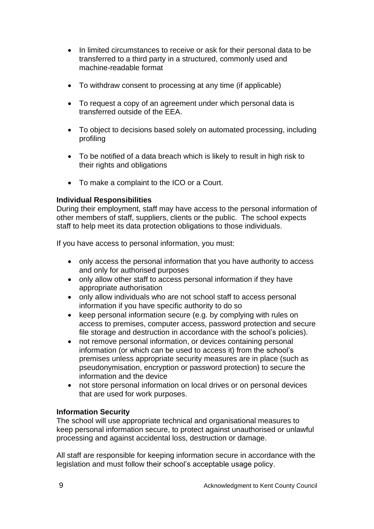- In limited circumstances to receive or ask for their personal data to be transferred to a third party in a structured, commonly used and machine-readable format
- To withdraw consent to processing at any time (if applicable)
- To request a copy of an agreement under which personal data is transferred outside of the EEA.
- To object to decisions based solely on automated processing, including profiling
- To be notified of a data breach which is likely to result in high risk to their rights and obligations
- To make a complaint to the ICO or a Court.

#### **Individual Responsibilities**

During their employment, staff may have access to the personal information of other members of staff, suppliers, clients or the public. The school expects staff to help meet its data protection obligations to those individuals.

If you have access to personal information, you must:

- only access the personal information that you have authority to access and only for authorised purposes
- only allow other staff to access personal information if they have appropriate authorisation
- only allow individuals who are not school staff to access personal information if you have specific authority to do so
- keep personal information secure (e.g. by complying with rules on access to premises, computer access, password protection and secure file storage and destruction in accordance with the school's policies).
- not remove personal information, or devices containing personal information (or which can be used to access it) from the school's premises unless appropriate security measures are in place (such as pseudonymisation, encryption or password protection) to secure the information and the device
- not store personal information on local drives or on personal devices that are used for work purposes.

## **Information Security**

The school will use appropriate technical and organisational measures to keep personal information secure, to protect against unauthorised or unlawful processing and against accidental loss, destruction or damage.

All staff are responsible for keeping information secure in accordance with the legislation and must follow their school's acceptable usage policy.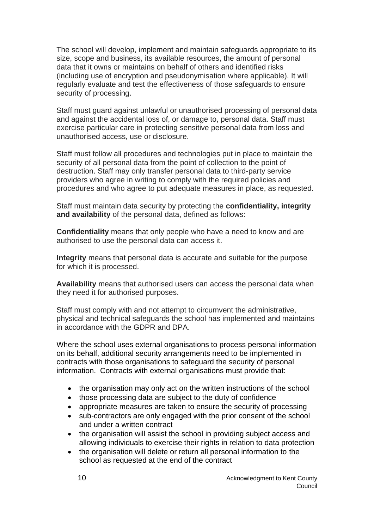The school will develop, implement and maintain safeguards appropriate to its size, scope and business, its available resources, the amount of personal data that it owns or maintains on behalf of others and identified risks (including use of encryption and pseudonymisation where applicable). It will regularly evaluate and test the effectiveness of those safeguards to ensure security of processing.

Staff must guard against unlawful or unauthorised processing of personal data and against the accidental loss of, or damage to, personal data. Staff must exercise particular care in protecting sensitive personal data from loss and unauthorised access, use or disclosure.

Staff must follow all procedures and technologies put in place to maintain the security of all personal data from the point of collection to the point of destruction. Staff may only transfer personal data to third-party service providers who agree in writing to comply with the required policies and procedures and who agree to put adequate measures in place, as requested.

Staff must maintain data security by protecting the **confidentiality, integrity and availability** of the personal data, defined as follows:

**Confidentiality** means that only people who have a need to know and are authorised to use the personal data can access it.

**Integrity** means that personal data is accurate and suitable for the purpose for which it is processed.

**Availability** means that authorised users can access the personal data when they need it for authorised purposes.

Staff must comply with and not attempt to circumvent the administrative, physical and technical safeguards the school has implemented and maintains in accordance with the GDPR and DPA.

Where the school uses external organisations to process personal information on its behalf, additional security arrangements need to be implemented in contracts with those organisations to safeguard the security of personal information. Contracts with external organisations must provide that:

- the organisation may only act on the written instructions of the school
- those processing data are subject to the duty of confidence
- appropriate measures are taken to ensure the security of processing
- sub-contractors are only engaged with the prior consent of the school and under a written contract
- the organisation will assist the school in providing subject access and allowing individuals to exercise their rights in relation to data protection
- the organisation will delete or return all personal information to the school as requested at the end of the contract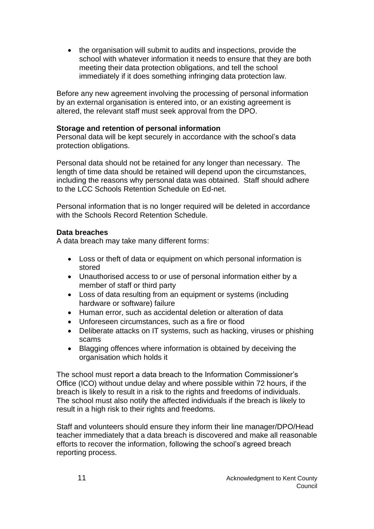• the organisation will submit to audits and inspections, provide the school with whatever information it needs to ensure that they are both meeting their data protection obligations, and tell the school immediately if it does something infringing data protection law.

Before any new agreement involving the processing of personal information by an external organisation is entered into, or an existing agreement is altered, the relevant staff must seek approval from the DPO.

#### **Storage and retention of personal information**

Personal data will be kept securely in accordance with the school's data protection obligations.

Personal data should not be retained for any longer than necessary. The length of time data should be retained will depend upon the circumstances, including the reasons why personal data was obtained. Staff should adhere to the LCC Schools Retention Schedule on Ed-net.

Personal information that is no longer required will be deleted in accordance with the Schools Record Retention Schedule.

## **Data breaches**

A data breach may take many different forms:

- Loss or theft of data or equipment on which personal information is stored
- Unauthorised access to or use of personal information either by a member of staff or third party
- Loss of data resulting from an equipment or systems (including hardware or software) failure
- Human error, such as accidental deletion or alteration of data
- Unforeseen circumstances, such as a fire or flood
- Deliberate attacks on IT systems, such as hacking, viruses or phishing scams
- Blagging offences where information is obtained by deceiving the organisation which holds it

The school must report a data breach to the Information Commissioner's Office (ICO) without undue delay and where possible within 72 hours, if the breach is likely to result in a risk to the rights and freedoms of individuals. The school must also notify the affected individuals if the breach is likely to result in a high risk to their rights and freedoms.

Staff and volunteers should ensure they inform their line manager/DPO/Head teacher immediately that a data breach is discovered and make all reasonable efforts to recover the information, following the school's agreed breach reporting process.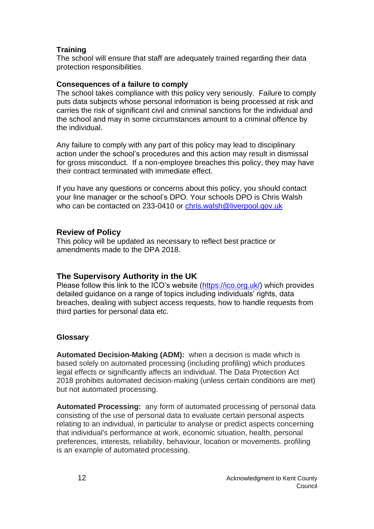## **Training**

The school will ensure that staff are adequately trained regarding their data protection responsibilities.

#### **Consequences of a failure to comply**

The school takes compliance with this policy very seriously. Failure to comply puts data subjects whose personal information is being processed at risk and carries the risk of significant civil and criminal sanctions for the individual and the school and may in some circumstances amount to a criminal offence by the individual.

Any failure to comply with any part of this policy may lead to disciplinary action under the school's procedures and this action may result in dismissal for gross misconduct. If a non-employee breaches this policy, they may have their contract terminated with immediate effect.

If you have any questions or concerns about this policy, you should contact your line manager or the school's DPO. Your schools DPO is Chris Walsh who can be contacted on 233-0410 or [chris.walsh@liverpool.gov.uk](mailto:chris.walsh@liverpool.gov.uk)

#### **Review of Policy**

This policy will be updated as necessary to reflect best practice or amendments made to the DPA 2018.

#### **The Supervisory Authority in the UK**

Please follow this link to the ICO's website [\(https://ico.org.uk/\)](https://ico.org.uk/) which provides detailed guidance on a range of topics including individuals' rights, data breaches, dealing with subject access requests, how to handle requests from third parties for personal data etc.

#### **Glossary**

**Automated Decision-Making (ADM):** when a decision is made which is based solely on automated processing (including profiling) which produces legal effects or significantly affects an individual. The Data Protection Act 2018 prohibits automated decision-making (unless certain conditions are met) but not automated processing.

**Automated Processing:** any form of automated processing of personal data consisting of the use of personal data to evaluate certain personal aspects relating to an individual, in particular to analyse or predict aspects concerning that individual's performance at work, economic situation, health, personal preferences, interests, reliability, behaviour, location or movements. profiling is an example of automated processing.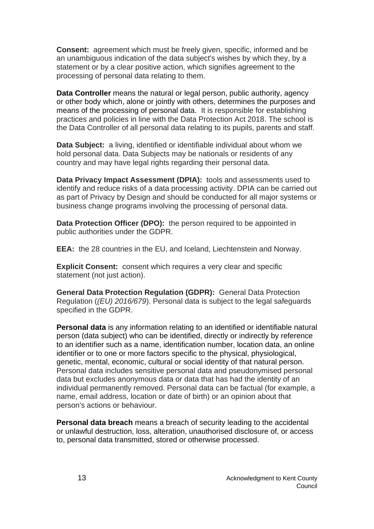**Consent:** agreement which must be freely given, specific, informed and be an unambiguous indication of the data subject's wishes by which they, by a statement or by a clear positive action, which signifies agreement to the processing of personal data relating to them.

**Data Controller** means the natural or legal person, public authority, agency or other body which, alone or jointly with others, determines the purposes and means of the processing of personal data. It is responsible for establishing practices and policies in line with the Data Protection Act 2018. The school is the Data Controller of all personal data relating to its pupils, parents and staff.

**Data Subject:** a living, identified or identifiable individual about whom we hold personal data. Data Subjects may be nationals or residents of any country and may have legal rights regarding their personal data.

**Data Privacy Impact Assessment (DPIA):** tools and assessments used to identify and reduce risks of a data processing activity. DPIA can be carried out as part of Privacy by Design and should be conducted for all major systems or business change programs involving the processing of personal data.

**Data Protection Officer (DPO):** the person required to be appointed in public authorities under the GDPR.

**EEA:** the 28 countries in the EU, and Iceland, Liechtenstein and Norway.

**Explicit Consent:** consent which requires a very clear and specific statement (not just action).

**General Data Protection Regulation (GDPR):** General Data Protection Regulation (*(EU) 2016/679*). Personal data is subject to the legal safeguards specified in the GDPR.

**Personal data** is any information relating to an identified or identifiable natural person (data subject) who can be identified, directly or indirectly by reference to an identifier such as a name, identification number, location data, an online identifier or to one or more factors specific to the physical, physiological, genetic, mental, economic, cultural or social identity of that natural person. Personal data includes sensitive personal data and pseudonymised personal data but excludes anonymous data or data that has had the identity of an individual permanently removed. Personal data can be factual (for example, a name, email address, location or date of birth) or an opinion about that person's actions or behaviour.

**Personal data breach** means a breach of security leading to the accidental or unlawful destruction, loss, alteration, unauthorised disclosure of, or access to, personal data transmitted, stored or otherwise processed.